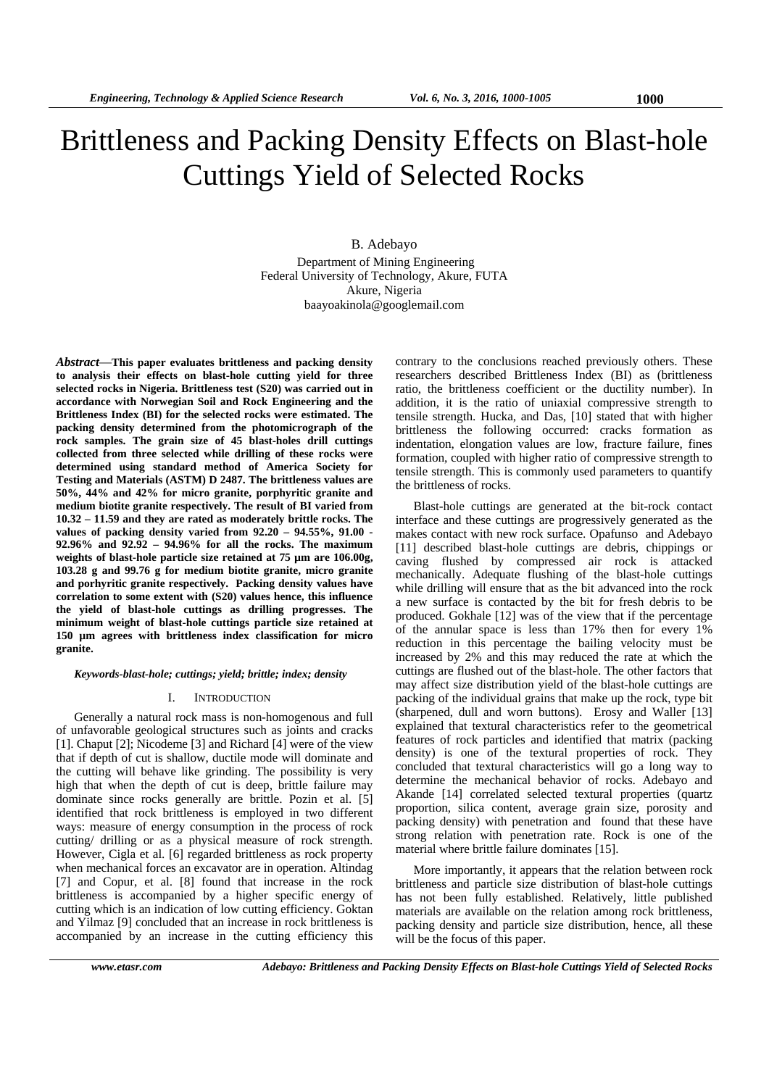# Brittleness and Packing Density Effects on Blast-hole Cuttings Yield of Selected Rocks

B. Adebayo Department of Mining Engineering Federal University of Technology, Akure, FUTA Akure, Nigeria baayoakinola@googlemail.com

*Abstract*—**This paper evaluates brittleness and packing density to analysis their effects on blast-hole cutting yield for three selected rocks in Nigeria. Brittleness test (S20) was carried out in accordance with Norwegian Soil and Rock Engineering and the Brittleness Index (BI) for the selected rocks were estimated. The packing density determined from the photomicrograph of the rock samples. The grain size of 45 blast-holes drill cuttings collected from three selected while drilling of these rocks were determined using standard method of America Society for Testing and Materials (ASTM) D 2487. The brittleness values are 50%, 44% and 42% for micro granite, porphyritic granite and medium biotite granite respectively. The result of BI varied from 10.32 – 11.59 and they are rated as moderately brittle rocks. The values of packing density varied from 92.20 – 94.55%, 91.00 - 92.96% and 92.92 – 94.96% for all the rocks. The maximum weights of blast-hole particle size retained at 75 µm are 106.00g, 103.28 g and 99.76 g for medium biotite granite, micro granite and porhyritic granite respectively. Packing density values have correlation to some extent with (S20) values hence, this influence the yield of blast-hole cuttings as drilling progresses. The minimum weight of blast-hole cuttings particle size retained at 150 µm agrees with brittleness index classification for micro granite.** 

*Keywords-blast-hole; cuttings; yield; brittle; index; density* 

## I. INTRODUCTION

Generally a natural rock mass is non-homogenous and full of unfavorable geological structures such as joints and cracks [1]. Chaput [2]; Nicodeme [3] and Richard [4] were of the view that if depth of cut is shallow, ductile mode will dominate and the cutting will behave like grinding. The possibility is very high that when the depth of cut is deep, brittle failure may dominate since rocks generally are brittle. Pozin et al. [5] identified that rock brittleness is employed in two different ways: measure of energy consumption in the process of rock cutting/ drilling or as a physical measure of rock strength. However, Cigla et al. [6] regarded brittleness as rock property when mechanical forces an excavator are in operation. Altindag [7] and Copur, et al. [8] found that increase in the rock brittleness is accompanied by a higher specific energy of cutting which is an indication of low cutting efficiency. Goktan and Yilmaz [9] concluded that an increase in rock brittleness is accompanied by an increase in the cutting efficiency this

contrary to the conclusions reached previously others. These researchers described Brittleness Index (BI) as (brittleness ratio, the brittleness coefficient or the ductility number). In addition, it is the ratio of uniaxial compressive strength to tensile strength. Hucka, and Das, [10] stated that with higher brittleness the following occurred: cracks formation as indentation, elongation values are low, fracture failure, fines formation, coupled with higher ratio of compressive strength to tensile strength. This is commonly used parameters to quantify the brittleness of rocks.

Blast-hole cuttings are generated at the bit-rock contact interface and these cuttings are progressively generated as the makes contact with new rock surface. Opafunso and Adebayo [11] described blast-hole cuttings are debris, chippings or caving flushed by compressed air rock is attacked mechanically. Adequate flushing of the blast-hole cuttings while drilling will ensure that as the bit advanced into the rock a new surface is contacted by the bit for fresh debris to be produced. Gokhale [12] was of the view that if the percentage of the annular space is less than 17% then for every 1% reduction in this percentage the bailing velocity must be increased by 2% and this may reduced the rate at which the cuttings are flushed out of the blast-hole. The other factors that may affect size distribution yield of the blast-hole cuttings are packing of the individual grains that make up the rock, type bit (sharpened, dull and worn buttons). Erosy and Waller [13] explained that textural characteristics refer to the geometrical features of rock particles and identified that matrix (packing density) is one of the textural properties of rock. They concluded that textural characteristics will go a long way to determine the mechanical behavior of rocks. Adebayo and Akande [14] correlated selected textural properties (quartz proportion, silica content, average grain size, porosity and packing density) with penetration and found that these have strong relation with penetration rate. Rock is one of the material where brittle failure dominates [15].

More importantly, it appears that the relation between rock brittleness and particle size distribution of blast-hole cuttings has not been fully established. Relatively, little published materials are available on the relation among rock brittleness, packing density and particle size distribution, hence, all these will be the focus of this paper.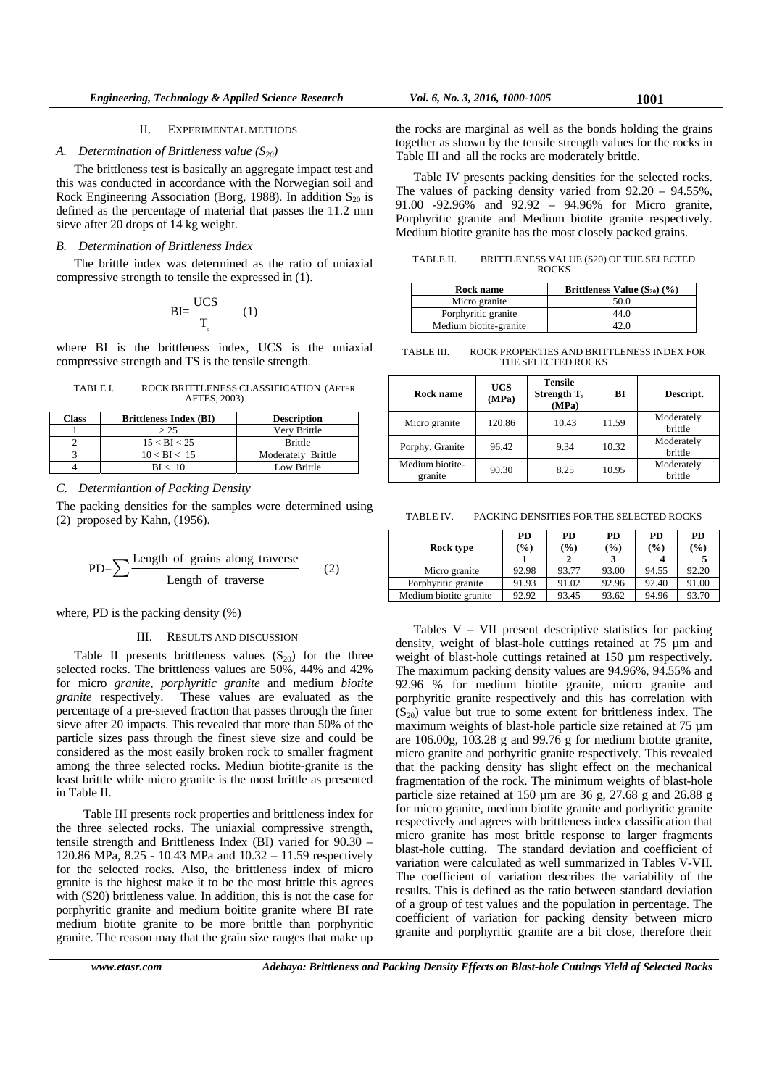#### II. EXPERIMENTAL METHODS

## *A. Determination of Brittleness value*  $(S_{20})$

The brittleness test is basically an aggregate impact test and this was conducted in accordance with the Norwegian soil and Rock Engineering Association (Borg, 1988). In addition  $S_{20}$  is defined as the percentage of material that passes the 11.2 mm sieve after 20 drops of 14 kg weight.

# *B. Determination of Brittleness Index*

The brittle index was determined as the ratio of uniaxial compressive strength to tensile the expressed in (1).

$$
BI = \frac{UCS}{T_s} \qquad (
$$

 $\left( 1\right)$ 

where BI is the brittleness index, UCS is the uniaxial compressive strength and TS is the tensile strength.

| TABLE I. | ROCK BRITTLENESS CLASSIFICATION (AFTER |
|----------|----------------------------------------|
|          | AFTES, 2003)                           |

| Class | <b>Brittleness Index (BI)</b> | <b>Description</b> |
|-------|-------------------------------|--------------------|
|       | > 25                          | Very Brittle       |
|       | $15 < B$ I $< 25$             | <b>Brittle</b>     |
|       | $10 < B$ I < 15               | Moderately Brittle |
|       | BI < 10                       | Low Brittle        |

# *C. Determiantion of Packing Density*

The packing densities for the samples were determined using (2) proposed by Kahn, (1956).

$$
PD = \sum \frac{Length \ of \ grains \ along \ traverse}{Length \ of \ traverse} \tag{2}
$$

where, PD is the packing density (%)

#### III. RESULTS AND DISCUSSION

Table II presents brittleness values  $(S_{20})$  for the three selected rocks. The brittleness values are 50%, 44% and 42% for micro *granite*, *porphyritic granite* and medium *biotite granite* respectively. These values are evaluated as the percentage of a pre-sieved fraction that passes through the finer sieve after 20 impacts. This revealed that more than 50% of the particle sizes pass through the finest sieve size and could be considered as the most easily broken rock to smaller fragment among the three selected rocks. Mediun biotite-granite is the least brittle while micro granite is the most brittle as presented in Table II.

 Table III presents rock properties and brittleness index for the three selected rocks. The uniaxial compressive strength, tensile strength and Brittleness Index (BI) varied for 90.30 – 120.86 MPa, 8.25 - 10.43 MPa and 10.32 – 11.59 respectively for the selected rocks. Also, the brittleness index of micro granite is the highest make it to be the most brittle this agrees with (S20) brittleness value. In addition, this is not the case for porphyritic granite and medium boitite granite where BI rate medium biotite granite to be more brittle than porphyritic granite. The reason may that the grain size ranges that make up

the rocks are marginal as well as the bonds holding the grains together as shown by the tensile strength values for the rocks in Table III and all the rocks are moderately brittle.

Table IV presents packing densities for the selected rocks. The values of packing density varied from 92.20 – 94.55%, 91.00 -92.96% and 92.92 – 94.96% for Micro granite, Porphyritic granite and Medium biotite granite respectively. Medium biotite granite has the most closely packed grains.

TABLE II. BRITTLENESS VALUE (S20) OF THE SELECTED **ROCKS** 

| Brittleness Value $(S_{20})$ $(\% )$ |
|--------------------------------------|
| 50.0                                 |
| 44 O                                 |
|                                      |
|                                      |

TABLE III. ROCK PROPERTIES AND BRITTLENESS INDEX FOR THE SELECTED ROCKS

| Rock name                  | <b>UCS</b><br>(MPa) | <b>Tensile</b><br>Strength $T_s$<br>(MPa) | ВI    | Descript.             |
|----------------------------|---------------------|-------------------------------------------|-------|-----------------------|
| Micro granite              | 120.86              | 10.43                                     | 11.59 | Moderately<br>brittle |
| Porphy. Granite            | 96.42               | 9.34                                      | 10.32 | Moderately<br>brittle |
| Medium biotite-<br>granite | 90.30               | 8.25                                      | 10.95 | Moderately<br>brittle |

TABLE IV. PACKING DENSITIES FOR THE SELECTED ROCKS

| Rock type              | PD<br>(%) | PD<br>$($ %) | PD<br>$\frac{9}{6}$ | PD<br>$\frac{9}{6}$ | PD<br>$(\%)$ |
|------------------------|-----------|--------------|---------------------|---------------------|--------------|
| Micro granite          | 92.98     | 93.77        | 93.00               | 94.55               | 92.20        |
| Porphyritic granite    | 91.93     | 91.02        | 92.96               | 92.40               | 91.00        |
| Medium biotite granite | 92.92     | 93.45        | 93.62               | 94.96               | 93.70        |

Tables V – VII present descriptive statistics for packing density, weight of blast-hole cuttings retained at 75 µm and weight of blast-hole cuttings retained at 150  $\mu$ m respectively. The maximum packing density values are 94.96%, 94.55% and 92.96 % for medium biotite granite, micro granite and porphyritic granite respectively and this has correlation with  $(S_{20})$  value but true to some extent for brittleness index. The maximum weights of blast-hole particle size retained at 75 µm are 106.00g, 103.28 g and 99.76 g for medium biotite granite, micro granite and porhyritic granite respectively. This revealed that the packing density has slight effect on the mechanical fragmentation of the rock. The minimum weights of blast-hole particle size retained at 150 µm are 36 g, 27.68 g and 26.88 g for micro granite, medium biotite granite and porhyritic granite respectively and agrees with brittleness index classification that micro granite has most brittle response to larger fragments blast-hole cutting. The standard deviation and coefficient of variation were calculated as well summarized in Tables V-VII. The coefficient of variation describes the variability of the results. This is defined as the ratio between standard deviation of a group of test values and the population in percentage. The coefficient of variation for packing density between micro granite and porphyritic granite are a bit close, therefore their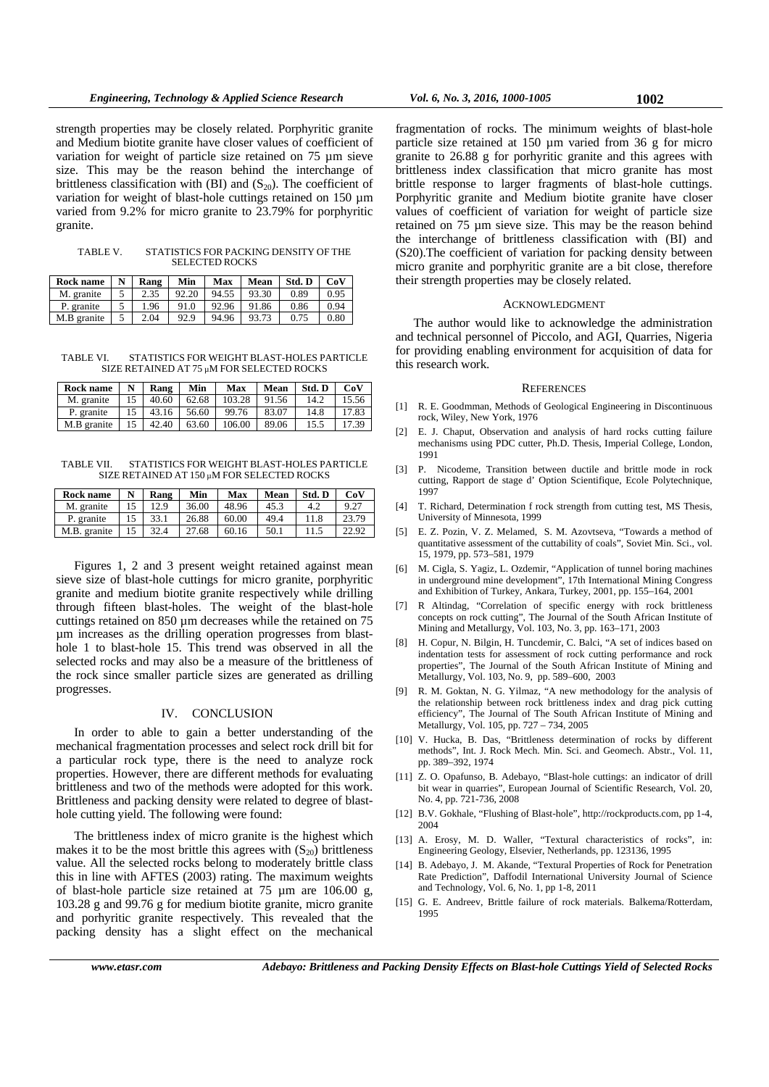strength properties may be closely related. Porphyritic granite and Medium biotite granite have closer values of coefficient of variation for weight of particle size retained on 75 µm sieve size. This may be the reason behind the interchange of brittleness classification with (BI) and  $(S_{20})$ . The coefficient of variation for weight of blast-hole cuttings retained on 150 µm varied from 9.2% for micro granite to 23.79% for porphyritic granite.

TABLE V. STATISTICS FOR PACKING DENSITY OF THE SELECTED ROCKS

| Rock name   | N | Rang | Min   | Max   | Mean  | Std. D | CoV  |
|-------------|---|------|-------|-------|-------|--------|------|
| M. granite  |   | 2.35 | 92.20 | 94.55 | 93.30 | 0.89   | 0.95 |
| P. granite  |   | 1.96 | 91.0  | 92.96 | 91.86 | 0.86   | 0.94 |
| M.B granite |   | 2.04 | 92.9  | 94.96 | 93.73 | 0.75   | 0.80 |

TABLE VI. STATISTICS FOR WEIGHT BLAST-HOLES PARTICLE SIZE RETAINED AT 75 µM FOR SELECTED ROCKS

| Rock name   | N | Rang  | Min   | Max    | Mean  | Std. D | CoV   |
|-------------|---|-------|-------|--------|-------|--------|-------|
| M. granite  |   | 40.60 | 62.68 | 103.28 | 91.56 | 14.2   | 15.56 |
| P. granite  |   | 43.16 | 56.60 | 99.76  | 83.07 | 14.8   | 17.83 |
| M.B granite |   | 42.40 | 63.60 | 106.00 | 89.06 | 15.5   | 17.39 |

TABLE VII. STATISTICS FOR WEIGHT BLAST-HOLES PARTICLE SIZE RETAINED AT 150 µM FOR SELECTED ROCKS

| Rock name    | N  | Rang | Min   | Max   | Mean | Std. D | CoV   |
|--------------|----|------|-------|-------|------|--------|-------|
| M. granite   |    | 12.9 | 36.00 | 48.96 | 45.3 | 4.2    | 9.27  |
| P. granite   | 15 | 33.1 | 26.88 | 60.00 | 49.4 | 11.8   | 23.79 |
| M.B. granite |    | 32.4 | 27.68 | 60.16 | 50.1 | 11.5   | 22.92 |

Figures 1, 2 and 3 present weight retained against mean sieve size of blast-hole cuttings for micro granite, porphyritic granite and medium biotite granite respectively while drilling through fifteen blast-holes. The weight of the blast-hole cuttings retained on 850 µm decreases while the retained on 75 µm increases as the drilling operation progresses from blasthole 1 to blast-hole 15. This trend was observed in all the selected rocks and may also be a measure of the brittleness of the rock since smaller particle sizes are generated as drilling progresses.

# IV. CONCLUSION

In order to able to gain a better understanding of the mechanical fragmentation processes and select rock drill bit for a particular rock type, there is the need to analyze rock properties. However, there are different methods for evaluating brittleness and two of the methods were adopted for this work. Brittleness and packing density were related to degree of blasthole cutting yield. The following were found:

The brittleness index of micro granite is the highest which makes it to be the most brittle this agrees with  $(S_{20})$  brittleness value. All the selected rocks belong to moderately brittle class this in line with AFTES (2003) rating. The maximum weights of blast-hole particle size retained at 75 µm are 106.00 g, 103.28 g and 99.76 g for medium biotite granite, micro granite and porhyritic granite respectively. This revealed that the packing density has a slight effect on the mechanical

fragmentation of rocks. The minimum weights of blast-hole particle size retained at 150 µm varied from 36 g for micro granite to 26.88 g for porhyritic granite and this agrees with brittleness index classification that micro granite has most brittle response to larger fragments of blast-hole cuttings. Porphyritic granite and Medium biotite granite have closer values of coefficient of variation for weight of particle size retained on 75 µm sieve size. This may be the reason behind the interchange of brittleness classification with (BI) and (S20).The coefficient of variation for packing density between

### ACKNOWLEDGMENT

micro granite and porphyritic granite are a bit close, therefore

their strength properties may be closely related.

The author would like to acknowledge the administration and technical personnel of Piccolo, and AGI, Quarries, Nigeria for providing enabling environment for acquisition of data for this research work.

#### **REFERENCES**

- [1] R. E. Goodmman, Methods of Geological Engineering in Discontinuous rock, Wiley, New York, 1976
- [2] E. J. Chaput, Observation and analysis of hard rocks cutting failure mechanisms using PDC cutter, Ph.D. Thesis, Imperial College, London, 1991
- [3] P. Nicodeme, Transition between ductile and brittle mode in rock cutting, Rapport de stage d' Option Scientifique, Ecole Polytechnique, 1997
- [4] T. Richard, Determination f rock strength from cutting test, MS Thesis, University of Minnesota, 1999
- [5] E. Z. Pozin, V. Z. Melamed, S. M. Azovtseva, "Towards a method of quantitative assessment of the cuttability of coals", Soviet Min. Sci., vol. 15, 1979, pp. 573–581, 1979
- [6] M. Cigla, S. Yagiz, L. Ozdemir, "Application of tunnel boring machines in underground mine development", 17th International Mining Congress and Exhibition of Turkey, Ankara, Turkey, 2001, pp. 155–164, 2001
- [7] R Altindag, "Correlation of specific energy with rock brittleness concepts on rock cutting", The Journal of the South African Institute of Mining and Metallurgy, Vol. 103, No. 3, pp. 163–171, 2003
- [8] H. Copur, N. Bilgin, H. Tuncdemir, C. Balci, "A set of indices based on indentation tests for assessment of rock cutting performance and rock properties", The Journal of the South African Institute of Mining and Metallurgy, Vol. 103, No. 9, pp. 589–600, 2003
- [9] R. M. Goktan, N. G. Yilmaz, "A new methodology for the analysis of the relationship between rock brittleness index and drag pick cutting efficiency", The Journal of The South African Institute of Mining and Metallurgy, Vol. 105, pp. 727 – 734, 2005
- [10] V. Hucka, B. Das, "Brittleness determination of rocks by different methods", Int. J. Rock Mech. Min. Sci. and Geomech. Abstr., Vol. 11, pp. 389–392, 1974
- [11] Z. O. Opafunso, B. Adebayo, "Blast-hole cuttings: an indicator of drill bit wear in quarries", European Journal of Scientific Research, Vol. 20, No. 4, pp. 721-736, 2008
- [12] B.V. Gokhale, "Flushing of Blast-hole", http://rockproducts.com, pp 1-4, 2004
- [13] A. Erosy, M. D. Waller, "Textural characteristics of rocks", in: Engineering Geology, Elsevier, Netherlands, pp. 123136, 1995
- [14] B. Adebayo, J. M. Akande, "Textural Properties of Rock for Penetration Rate Prediction", Daffodil International University Journal of Science and Technology, Vol. 6, No. 1, pp 1-8, 2011
- [15] G. E. Andreev, Brittle failure of rock materials. Balkema/Rotterdam, 1995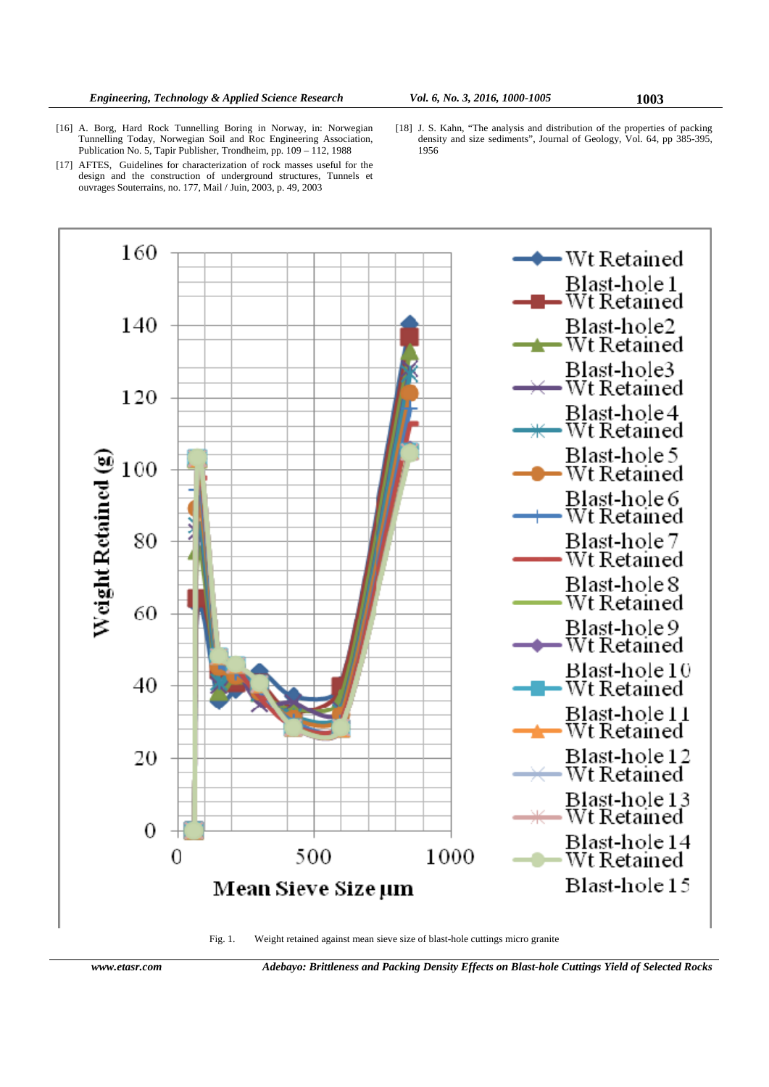- [16] A. Borg, Hard Rock Tunnelling Boring in Norway, in: Norwegian Tunnelling Today, Norwegian Soil and Roc Engineering Association, Publication No. 5, Tapir Publisher, Trondheim, pp. 109 – 112, 1988
- [17] AFTES, Guidelines for characterization of rock masses useful for the design and the construction of underground structures, Tunnels et ouvrages Souterrains, no. 177, Mail / Juin, 2003, p. 49, 2003
- [18] J. S. Kahn, "The analysis and distribution of the properties of packing density and size sediments", Journal of Geology, Vol. 64, pp 385-395, 1956



Fig. 1. Weight retained against mean sieve size of blast-hole cuttings micro granite

*www.etasr.com Adebayo: Brittleness and Packing Density Effects on Blast-hole Cuttings Yield of Selected Rocks*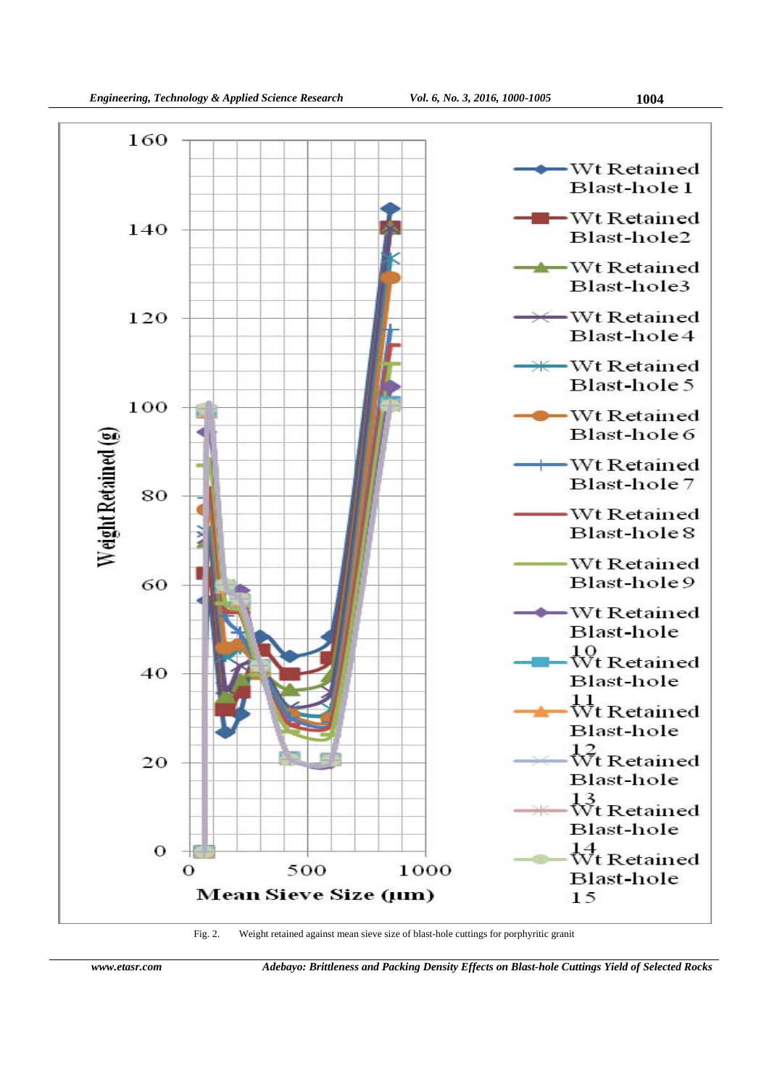

Fig. 2. Weight retained against mean sieve size of blast-hole cuttings for porphyritic granit

*www.etasr.com Adebayo: Brittleness and Packing Density Effects on Blast-hole Cuttings Yield of Selected Rocks*